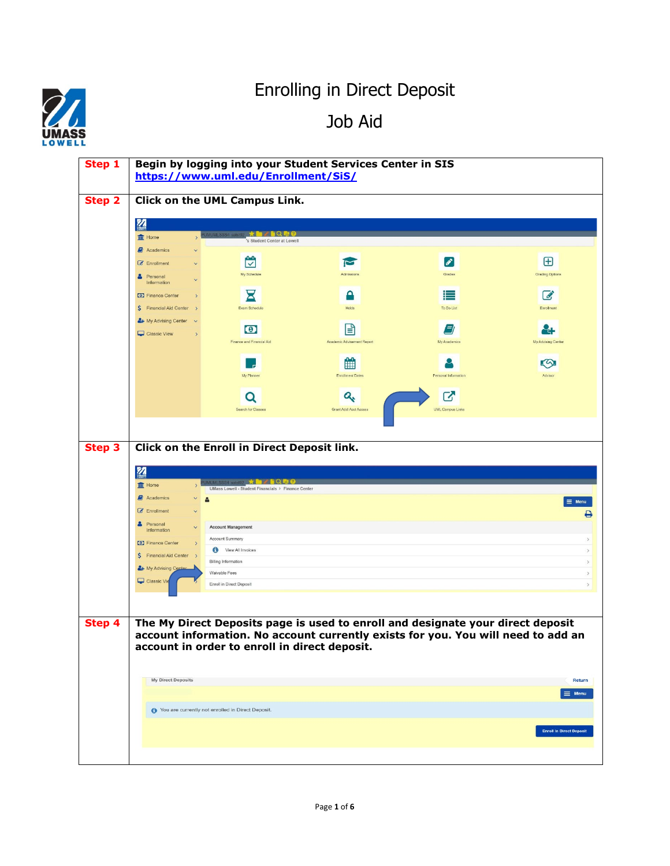## Enrolling in Direct Deposit

Job Aid



| Step 1        |                                                            | https://www.uml.edu/Enrollment/SiS/                                                                  | Begin by logging into your Student Services Center in SIS |                                                                                   |                                      |
|---------------|------------------------------------------------------------|------------------------------------------------------------------------------------------------------|-----------------------------------------------------------|-----------------------------------------------------------------------------------|--------------------------------------|
| <b>Step 2</b> |                                                            | Click on the UML Campus Link.                                                                        |                                                           |                                                                                   |                                      |
|               | <b>M</b>                                                   |                                                                                                      |                                                           |                                                                                   |                                      |
|               | <b>III</b> Home                                            | UMUMESSS4 Bars192 <b>* LEA</b> CLC<br>'s Student Center at Lowell                                    |                                                           |                                                                                   |                                      |
|               | <b>Academics</b>                                           |                                                                                                      |                                                           |                                                                                   |                                      |
|               | <b><i>C</i></b> Enrollment                                 | ₩<br>My Schedule                                                                                     | $\blacksquare$<br>Admissions                              | $\mathscr{E}$<br>Grades                                                           | $\boxplus$<br><b>Grading Options</b> |
|               | <b>&amp;</b> Personal<br>Information                       |                                                                                                      |                                                           |                                                                                   |                                      |
|               | Finance Center<br>\$ Financial Aid Center<br>$\rightarrow$ | Σ<br>Exam Schedule                                                                                   | А<br>Holds                                                | ⋿<br>To Do List                                                                   | $\overrightarrow{a}$<br>Enrollment   |
|               | & My Advising Center                                       |                                                                                                      |                                                           |                                                                                   |                                      |
|               | Classic View<br>$\rightarrow$                              | $\bullet$<br>Finance and Financial Aid                                                               | r<br>Academic Advisement Report                           | 9<br>My Academics                                                                 | 8<br>My Advising Center              |
|               |                                                            |                                                                                                      |                                                           |                                                                                   |                                      |
|               |                                                            | My Planner                                                                                           | 鱛<br><b>Enrolment Dates</b>                               | Personal Information                                                              | 59<br>Advisor                        |
|               |                                                            |                                                                                                      |                                                           |                                                                                   |                                      |
|               |                                                            | Q                                                                                                    | a.                                                        | 7<br><b>UML Campus Links</b>                                                      |                                      |
|               |                                                            | Search for Classes                                                                                   | Grant Adol Acct Access                                    |                                                                                   |                                      |
|               |                                                            |                                                                                                      |                                                           |                                                                                   |                                      |
| <b>Step 3</b> |                                                            | Click on the Enroll in Direct Deposit link.                                                          |                                                           |                                                                                   |                                      |
|               | N                                                          |                                                                                                      |                                                           |                                                                                   |                                      |
|               | $\frac{1}{2}$ Home                                         | <b>MUMLSSS4 satst92 1. Def &amp; Q &amp; Q</b><br>UMass Lowell - Student Financials > Finance Center |                                                           |                                                                                   |                                      |
|               | <b>E</b> Academics                                         | $\Delta$                                                                                             |                                                           |                                                                                   | $\equiv$ Menu                        |
|               | <b>Enrollment</b><br>Personal                              |                                                                                                      |                                                           |                                                                                   | ₿                                    |
|               | Information                                                | <b>Account Management</b><br>Account Summary                                                         |                                                           |                                                                                   | $\rightarrow$                        |
|               | Finance Center<br>\$ Financial Aid Center >                | View All Invoices                                                                                    |                                                           |                                                                                   | $\,$                                 |
|               | <sup>2</sup> My Advising Cente                             | <b>Billing Information</b><br>Waivable Fees                                                          |                                                           |                                                                                   | $\,$<br>$\,$                         |
|               | Classic Vie                                                | Enroll in Direct Deposit                                                                             |                                                           |                                                                                   | $\,$                                 |
|               |                                                            |                                                                                                      |                                                           |                                                                                   |                                      |
| Step 4        |                                                            |                                                                                                      |                                                           | The My Direct Deposits page is used to enroll and designate your direct deposit   |                                      |
|               |                                                            |                                                                                                      |                                                           | account information. No account currently exists for you. You will need to add an |                                      |
|               |                                                            | account in order to enroll in direct deposit.                                                        |                                                           |                                                                                   |                                      |
|               |                                                            |                                                                                                      |                                                           |                                                                                   |                                      |
|               | My Direct Deposits                                         |                                                                                                      |                                                           |                                                                                   | Return                               |
|               |                                                            |                                                                                                      |                                                           |                                                                                   | $\equiv$ Menu                        |
|               |                                                            |                                                                                                      |                                                           |                                                                                   |                                      |
|               | You are currently not enrolled in Direct Deposit.          |                                                                                                      |                                                           |                                                                                   |                                      |
|               |                                                            |                                                                                                      |                                                           |                                                                                   | <b>Enroll In Direct Deposit</b>      |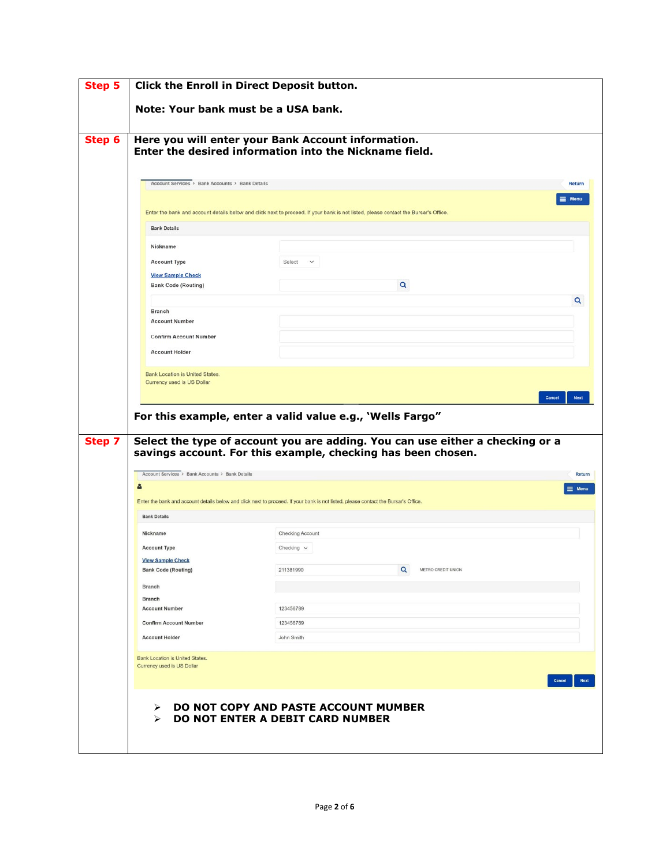|               | Note: Your bank must be a USA bank.                                  |                                                                                                                                                                                                            |                         |  |  |
|---------------|----------------------------------------------------------------------|------------------------------------------------------------------------------------------------------------------------------------------------------------------------------------------------------------|-------------------------|--|--|
| Step 6        |                                                                      | Here you will enter your Bank Account information.<br>Enter the desired information into the Nickname field.                                                                                               |                         |  |  |
|               | Account Services > Bank Accounts > Bank Details                      |                                                                                                                                                                                                            | <b>Return</b>           |  |  |
|               |                                                                      | Enter the bank and account details below and click next to proceed. If your bank is not listed, please contact the Bursar's Office.                                                                        | $\equiv$ Menu           |  |  |
|               | <b>Bank Details</b>                                                  |                                                                                                                                                                                                            |                         |  |  |
|               | Nickname                                                             |                                                                                                                                                                                                            |                         |  |  |
|               | <b>Account Type</b>                                                  | Select<br>$\vee$                                                                                                                                                                                           |                         |  |  |
|               | <b>View Sample Check</b>                                             |                                                                                                                                                                                                            |                         |  |  |
|               | <b>Bank Code (Routing)</b>                                           | Q                                                                                                                                                                                                          |                         |  |  |
|               |                                                                      |                                                                                                                                                                                                            | Q                       |  |  |
|               | <b>Branch</b><br><b>Account Number</b>                               |                                                                                                                                                                                                            |                         |  |  |
|               | <b>Confirm Account Number</b>                                        |                                                                                                                                                                                                            |                         |  |  |
|               | <b>Account Holder</b>                                                |                                                                                                                                                                                                            |                         |  |  |
|               |                                                                      |                                                                                                                                                                                                            | Cancel                  |  |  |
| <b>Step 7</b> | Account Services > Bank Accounts > Bank Details<br>å                 | For this example, enter a valid value e.g., 'Wells Fargo"<br>Select the type of account you are adding. You can use either a checking or a<br>savings account. For this example, checking has been chosen. |                         |  |  |
|               | <b>Bank Details</b>                                                  | Enter the bank and account details below and click next to proceed. If your bank is not listed, please contact the Bursar's Office.                                                                        |                         |  |  |
|               |                                                                      |                                                                                                                                                                                                            |                         |  |  |
|               | Nickname<br><b>Account Type</b>                                      | Checking Account<br>Checking $\vee$                                                                                                                                                                        |                         |  |  |
|               | <b>View Sample Check</b>                                             |                                                                                                                                                                                                            |                         |  |  |
|               | <b>Bank Code (Routing)</b>                                           | Q<br>METRO CREDIT UNION<br>211381990                                                                                                                                                                       |                         |  |  |
|               | <b>Branch</b>                                                        |                                                                                                                                                                                                            |                         |  |  |
|               | <b>Branch</b>                                                        |                                                                                                                                                                                                            |                         |  |  |
|               | <b>Account Number</b>                                                | 123456789                                                                                                                                                                                                  |                         |  |  |
|               | <b>Confirm Account Number</b>                                        | 123456789                                                                                                                                                                                                  |                         |  |  |
|               | <b>Account Holder</b>                                                | John Smith                                                                                                                                                                                                 | <b>Return</b><br>≡ Menu |  |  |
|               | <b>Bank Location is United States.</b><br>Currency used is US Dollar |                                                                                                                                                                                                            | Cancel<br><b>Next</b>   |  |  |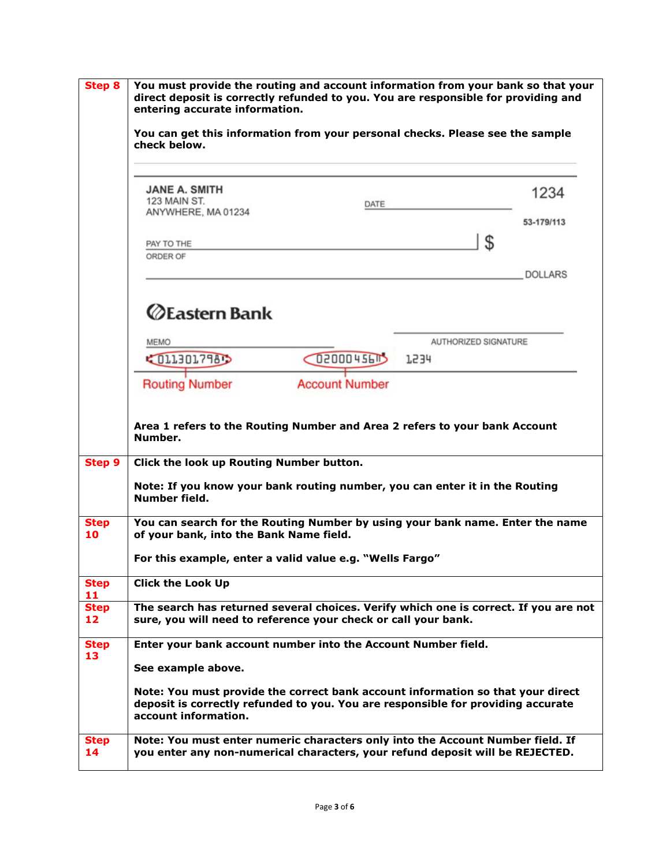| <b>Step 8</b>     | You must provide the routing and account information from your bank so that your<br>direct deposit is correctly refunded to you. You are responsible for providing and<br>entering accurate information.<br>You can get this information from your personal checks. Please see the sample<br>check below. |                                        |                      |            |                |
|-------------------|-----------------------------------------------------------------------------------------------------------------------------------------------------------------------------------------------------------------------------------------------------------------------------------------------------------|----------------------------------------|----------------------|------------|----------------|
|                   |                                                                                                                                                                                                                                                                                                           |                                        |                      |            |                |
|                   | PAY TO THE                                                                                                                                                                                                                                                                                                |                                        | \$                   | 53-179/113 |                |
|                   |                                                                                                                                                                                                                                                                                                           | ORDER OF                               |                      |            | <b>DOLLARS</b> |
|                   | <b>ZEastern Bank</b>                                                                                                                                                                                                                                                                                      |                                        |                      |            |                |
|                   | <b>MEMO</b>                                                                                                                                                                                                                                                                                               |                                        | AUTHORIZED SIGNATURE |            |                |
|                   | COLLEGL798D                                                                                                                                                                                                                                                                                               | $Q$ <sub>145</sub> $\mu$ <sub>15</sub> | 1534                 |            |                |
|                   | <b>Account Number</b><br><b>Routing Number</b>                                                                                                                                                                                                                                                            |                                        |                      |            |                |
| Step 9            | Area 1 refers to the Routing Number and Area 2 refers to your bank Account<br>Number.<br>Click the look up Routing Number button.<br>Note: If you know your bank routing number, you can enter it in the Routing<br>Number field.                                                                         |                                        |                      |            |                |
| <b>Step</b><br>10 | You can search for the Routing Number by using your bank name. Enter the name<br>of your bank, into the Bank Name field.                                                                                                                                                                                  |                                        |                      |            |                |
|                   | For this example, enter a valid value e.g. "Wells Fargo"                                                                                                                                                                                                                                                  |                                        |                      |            |                |
| <b>Step</b><br>11 | <b>Click the Look Up</b>                                                                                                                                                                                                                                                                                  |                                        |                      |            |                |
| <b>Step</b><br>12 | The search has returned several choices. Verify which one is correct. If you are not<br>sure, you will need to reference your check or call your bank.                                                                                                                                                    |                                        |                      |            |                |
| <b>Step</b><br>13 | Enter your bank account number into the Account Number field.                                                                                                                                                                                                                                             |                                        |                      |            |                |
|                   | See example above.                                                                                                                                                                                                                                                                                        |                                        |                      |            |                |
|                   | Note: You must provide the correct bank account information so that your direct<br>deposit is correctly refunded to you. You are responsible for providing accurate<br>account information.                                                                                                               |                                        |                      |            |                |
| <b>Step</b><br>14 | Note: You must enter numeric characters only into the Account Number field. If<br>you enter any non-numerical characters, your refund deposit will be REJECTED.                                                                                                                                           |                                        |                      |            |                |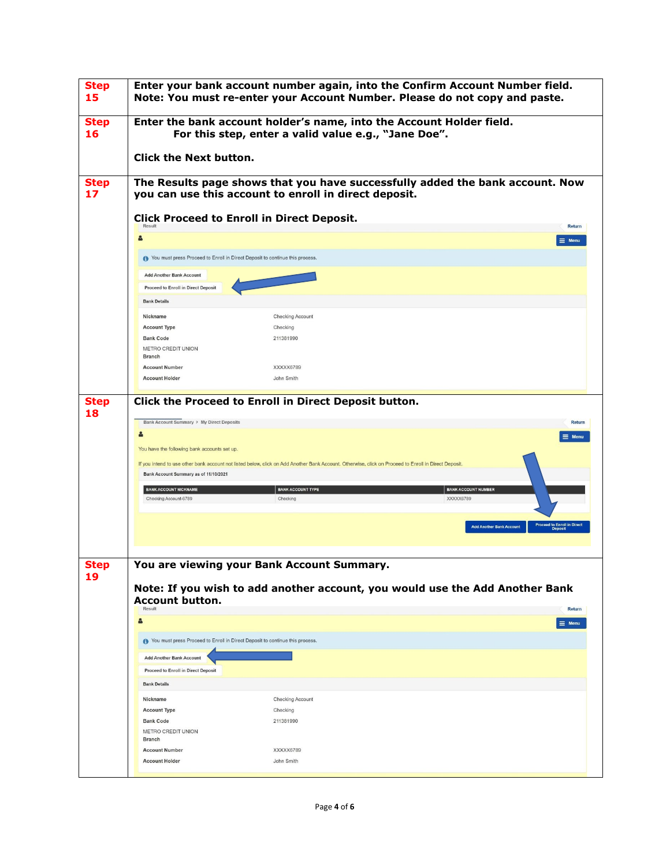| <b>Step</b><br>15 |                                                                                                |                                                                                                                                                                                               | Enter your bank account number again, into the Confirm Account Number field.<br>Note: You must re-enter your Account Number. Please do not copy and paste. |
|-------------------|------------------------------------------------------------------------------------------------|-----------------------------------------------------------------------------------------------------------------------------------------------------------------------------------------------|------------------------------------------------------------------------------------------------------------------------------------------------------------|
| <b>Step</b><br>16 |                                                                                                | For this step, enter a valid value e.g., "Jane Doe".                                                                                                                                          | Enter the bank account holder's name, into the Account Holder field.                                                                                       |
|                   | <b>Click the Next button.</b>                                                                  |                                                                                                                                                                                               |                                                                                                                                                            |
| <b>Step</b><br>17 |                                                                                                | you can use this account to enroll in direct deposit.                                                                                                                                         | The Results page shows that you have successfully added the bank account. Now                                                                              |
|                   | Result                                                                                         | <b>Click Proceed to Enroll in Direct Deposit.</b>                                                                                                                                             | <b>Return</b>                                                                                                                                              |
|                   | 8                                                                                              |                                                                                                                                                                                               | $\equiv$ Menu                                                                                                                                              |
|                   | To You must press Proceed to Enroll in Direct Deposit to continue this process.                |                                                                                                                                                                                               |                                                                                                                                                            |
|                   | <b>Add Another Bank Account</b>                                                                |                                                                                                                                                                                               |                                                                                                                                                            |
|                   | <b>Proceed to Enroll in Direct Deposit</b>                                                     |                                                                                                                                                                                               |                                                                                                                                                            |
|                   | <b>Bank Details</b>                                                                            |                                                                                                                                                                                               |                                                                                                                                                            |
|                   | Nickname                                                                                       | Checking Account                                                                                                                                                                              |                                                                                                                                                            |
|                   | <b>Account Type</b><br><b>Bank Code</b>                                                        | Checking<br>211381990                                                                                                                                                                         |                                                                                                                                                            |
|                   | <b>METRO CREDIT UNION</b>                                                                      |                                                                                                                                                                                               |                                                                                                                                                            |
|                   | <b>Branch</b>                                                                                  |                                                                                                                                                                                               |                                                                                                                                                            |
|                   | <b>Account Number</b><br><b>Account Holder</b>                                                 | XXXXX6789<br>John Smith                                                                                                                                                                       |                                                                                                                                                            |
|                   | Bank Account Summary as of 11/10/2021<br><b>BANK ACCOUNT NICKNAME</b><br>Checking Account-6789 | If you intend to use other bank account not listed below, click on Add Another Bank Account. Otherwise, click on Proceed to Enroll in Direct Deposit.<br><b>BANK ACCOUNT TYPE</b><br>Checking | <b>BANK ACCOUNT NUMBER</b><br>XXXXX6789<br><b>Proceed to Enroll in Direct</b><br>Deposit<br><b>Add Another Bank Account</b>                                |
| <b>Step</b><br>19 | <b>Account button.</b><br>Result                                                               | You are viewing your Bank Account Summary                                                                                                                                                     | Note: If you wish to add another account, you would use the Add Another Bank<br><b>Return</b>                                                              |
|                   | 8                                                                                              |                                                                                                                                                                                               | $\equiv$ Menu                                                                                                                                              |
|                   | You must press Proceed to Enroll in Direct Deposit to continue this process.                   |                                                                                                                                                                                               |                                                                                                                                                            |
|                   | <b>Add Another Bank Account</b>                                                                |                                                                                                                                                                                               |                                                                                                                                                            |
|                   | <b>Proceed to Enroll in Direct Deposit</b>                                                     |                                                                                                                                                                                               |                                                                                                                                                            |
|                   | <b>Bank Details</b>                                                                            |                                                                                                                                                                                               |                                                                                                                                                            |
|                   | Nickname                                                                                       | <b>Checking Account</b>                                                                                                                                                                       |                                                                                                                                                            |
|                   | <b>Account Type</b>                                                                            | Checking                                                                                                                                                                                      |                                                                                                                                                            |
|                   | <b>Bank Code</b><br><b>METRO CREDIT UNION</b>                                                  | 211381990                                                                                                                                                                                     |                                                                                                                                                            |
|                   | <b>Branch</b>                                                                                  |                                                                                                                                                                                               |                                                                                                                                                            |
|                   |                                                                                                |                                                                                                                                                                                               |                                                                                                                                                            |
|                   | <b>Account Number</b><br><b>Account Holder</b>                                                 | XXXXX6789<br>John Smith                                                                                                                                                                       |                                                                                                                                                            |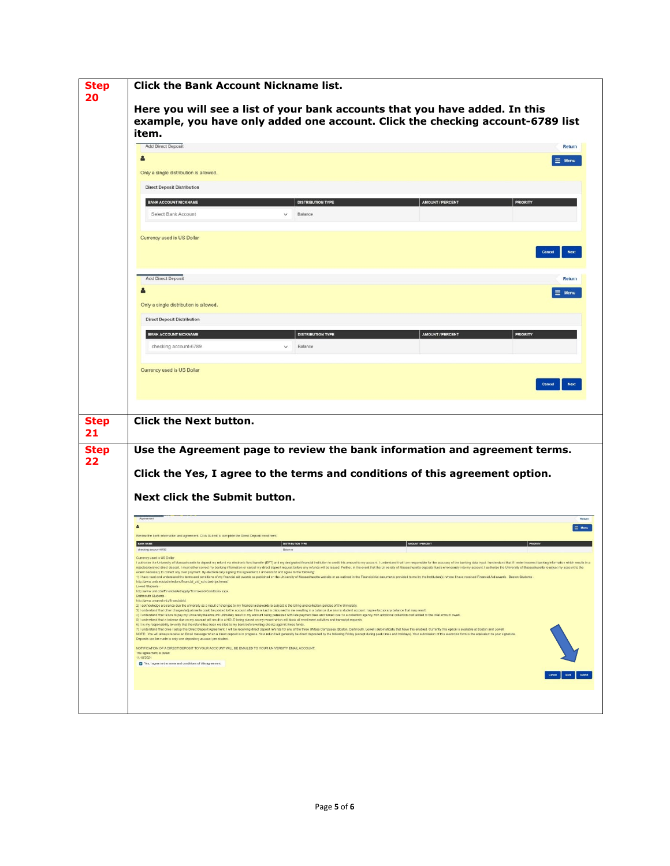|              | <b>Click the Bank Account Nickname list.</b><br>Here you will see a list of your bank accounts that you have added. In this<br>example, you have only added one account. Click the checking account-6789 list |                                                                                                                                                                                                                                                                                                                                                                                                        |                                                                                                                                                                                                                                                                                                                                                                                                                                                                  |                       |  |
|--------------|---------------------------------------------------------------------------------------------------------------------------------------------------------------------------------------------------------------|--------------------------------------------------------------------------------------------------------------------------------------------------------------------------------------------------------------------------------------------------------------------------------------------------------------------------------------------------------------------------------------------------------|------------------------------------------------------------------------------------------------------------------------------------------------------------------------------------------------------------------------------------------------------------------------------------------------------------------------------------------------------------------------------------------------------------------------------------------------------------------|-----------------------|--|
|              | item.                                                                                                                                                                                                         |                                                                                                                                                                                                                                                                                                                                                                                                        |                                                                                                                                                                                                                                                                                                                                                                                                                                                                  |                       |  |
|              | <b>Add Direct Deposit</b>                                                                                                                                                                                     |                                                                                                                                                                                                                                                                                                                                                                                                        |                                                                                                                                                                                                                                                                                                                                                                                                                                                                  | <b>Return</b>         |  |
|              | 2                                                                                                                                                                                                             |                                                                                                                                                                                                                                                                                                                                                                                                        |                                                                                                                                                                                                                                                                                                                                                                                                                                                                  | $\equiv$ Menu         |  |
|              | Only a single distribution is allowed.                                                                                                                                                                        |                                                                                                                                                                                                                                                                                                                                                                                                        |                                                                                                                                                                                                                                                                                                                                                                                                                                                                  |                       |  |
|              | <b>Direct Deposit Distribution</b>                                                                                                                                                                            |                                                                                                                                                                                                                                                                                                                                                                                                        |                                                                                                                                                                                                                                                                                                                                                                                                                                                                  |                       |  |
|              | <b>BANK ACCOUNT NICKNAME</b>                                                                                                                                                                                  | <b>DISTRIBUTION TYPE</b>                                                                                                                                                                                                                                                                                                                                                                               | <b>AMOUNT / PERCENT</b>                                                                                                                                                                                                                                                                                                                                                                                                                                          | <b>PRIORITY</b>       |  |
|              | Select Bank Account                                                                                                                                                                                           | Balance                                                                                                                                                                                                                                                                                                                                                                                                |                                                                                                                                                                                                                                                                                                                                                                                                                                                                  |                       |  |
|              |                                                                                                                                                                                                               |                                                                                                                                                                                                                                                                                                                                                                                                        |                                                                                                                                                                                                                                                                                                                                                                                                                                                                  |                       |  |
|              | Currency used is US Dollar                                                                                                                                                                                    |                                                                                                                                                                                                                                                                                                                                                                                                        |                                                                                                                                                                                                                                                                                                                                                                                                                                                                  | Next                  |  |
|              |                                                                                                                                                                                                               |                                                                                                                                                                                                                                                                                                                                                                                                        |                                                                                                                                                                                                                                                                                                                                                                                                                                                                  |                       |  |
|              | <b>Add Direct Deposit</b>                                                                                                                                                                                     |                                                                                                                                                                                                                                                                                                                                                                                                        |                                                                                                                                                                                                                                                                                                                                                                                                                                                                  | Return                |  |
|              |                                                                                                                                                                                                               |                                                                                                                                                                                                                                                                                                                                                                                                        |                                                                                                                                                                                                                                                                                                                                                                                                                                                                  | $\equiv$ Menu         |  |
|              | Only a single distribution is allowed.                                                                                                                                                                        |                                                                                                                                                                                                                                                                                                                                                                                                        |                                                                                                                                                                                                                                                                                                                                                                                                                                                                  |                       |  |
|              | <b>Direct Deposit Distribution</b>                                                                                                                                                                            |                                                                                                                                                                                                                                                                                                                                                                                                        |                                                                                                                                                                                                                                                                                                                                                                                                                                                                  |                       |  |
|              | <b>BANK ACCOUNT NICKNAME</b>                                                                                                                                                                                  | <b>DISTRIBUTION TYPE</b>                                                                                                                                                                                                                                                                                                                                                                               | <b>AMOUNT / PERCENT</b>                                                                                                                                                                                                                                                                                                                                                                                                                                          | <b>PRIORITY</b>       |  |
|              | checking account-6789                                                                                                                                                                                         | Balance                                                                                                                                                                                                                                                                                                                                                                                                |                                                                                                                                                                                                                                                                                                                                                                                                                                                                  |                       |  |
|              |                                                                                                                                                                                                               |                                                                                                                                                                                                                                                                                                                                                                                                        |                                                                                                                                                                                                                                                                                                                                                                                                                                                                  |                       |  |
|              |                                                                                                                                                                                                               |                                                                                                                                                                                                                                                                                                                                                                                                        |                                                                                                                                                                                                                                                                                                                                                                                                                                                                  |                       |  |
|              | <b>Click the Next button.</b>                                                                                                                                                                                 |                                                                                                                                                                                                                                                                                                                                                                                                        |                                                                                                                                                                                                                                                                                                                                                                                                                                                                  |                       |  |
|              |                                                                                                                                                                                                               |                                                                                                                                                                                                                                                                                                                                                                                                        | Use the Agreement page to review the bank information and agreement terms.                                                                                                                                                                                                                                                                                                                                                                                       |                       |  |
|              |                                                                                                                                                                                                               |                                                                                                                                                                                                                                                                                                                                                                                                        | Click the Yes, I agree to the terms and conditions of this agreement option.                                                                                                                                                                                                                                                                                                                                                                                     |                       |  |
|              | <b>Next click the Submit button.</b>                                                                                                                                                                          |                                                                                                                                                                                                                                                                                                                                                                                                        |                                                                                                                                                                                                                                                                                                                                                                                                                                                                  |                       |  |
|              | Agreemen                                                                                                                                                                                                      |                                                                                                                                                                                                                                                                                                                                                                                                        |                                                                                                                                                                                                                                                                                                                                                                                                                                                                  | Return                |  |
| $\mathbf{A}$ | Review the bank information and agreement. Click Submit to complete the Direct Deposit enrollment                                                                                                             |                                                                                                                                                                                                                                                                                                                                                                                                        |                                                                                                                                                                                                                                                                                                                                                                                                                                                                  | $\equiv$ Menu         |  |
|              | checking account-6789                                                                                                                                                                                         |                                                                                                                                                                                                                                                                                                                                                                                                        |                                                                                                                                                                                                                                                                                                                                                                                                                                                                  |                       |  |
|              | Currency used is US Dollar                                                                                                                                                                                    |                                                                                                                                                                                                                                                                                                                                                                                                        | I authorize the University of Massachusetts to deposit my refund via electronic fund transfer (EFT) and my designated financial institution to credit this amount to my account. I understand that I am responsible for the ac                                                                                                                                                                                                                                   |                       |  |
|              | extent necessary to correct any over payment. By electronically signing this agreement, I understand and agree to the following:                                                                              | didelayed direct deposit. I must either correct my banking information or cancel my direct deposit request before any refunds will be issued. Further, in the event that the                                                                                                                                                                                                                           |                                                                                                                                                                                                                                                                                                                                                                                                                                                                  | ts to adjust my accor |  |
|              | http://www.umb.edu/admissions/financial_aid_scholarships/terms/<br><b>Lowell Students</b>                                                                                                                     |                                                                                                                                                                                                                                                                                                                                                                                                        | 1) I have read and understand the terms and conditions of my financial aid awards as published on the University of Massachusetts website or as outlined in the Financial Aid documents provided to me by the Institution(s) w                                                                                                                                                                                                                                   |                       |  |
|              | http://www.uml.edu/FinancialAid/apply/Terms-and-Condtions.aspx.<br>Dartmouth Students<br>http://www.umassd.edu/financialaid.                                                                                  |                                                                                                                                                                                                                                                                                                                                                                                                        |                                                                                                                                                                                                                                                                                                                                                                                                                                                                  |                       |  |
|              |                                                                                                                                                                                                               | 2) I acknowledge a balance due the university as a result of changes to my financial aid awards is subject to the billing and collection policies of the University.<br>3) I understand that other charges/adjustments could be posted to the account after this refund is disbursed to me resulting in a balance due on my student account. I agree to pay any balance that may result                |                                                                                                                                                                                                                                                                                                                                                                                                                                                                  |                       |  |
|              | 6) It is my responsibility to verify that the refund has been credited to my bank before writing checks against these funds.                                                                                  | 4) I understand that failure to pay my University balance will ultimately result in my account being penalized with late payment fees and turned over to a collection agency with additional collection cost added to the tota<br>5) I understand that a balance due on my account will result in a HOLD being placed on my record which will block all enrollment activities and transcript requests. |                                                                                                                                                                                                                                                                                                                                                                                                                                                                  |                       |  |
|              | Deposits can be made to only one depository account per student.                                                                                                                                              |                                                                                                                                                                                                                                                                                                                                                                                                        | 7) I understand that once I setup this Direct Deposit Agreement. I will be receiving direct deposit refunds for any of the three UMass Campuses (Boston, Dartmouth, Lowell) automatically that have this enabled. Currently th<br>NOTE: You will always receive an Email message when a direct deposit is in progress. Your refund will generally be direct deposited by the following Friday (except during peak times and holidays). Your submission of this e |                       |  |
|              | NOTIFICATION OF A DIRECT DEPOSITITO YOUR ACCOUNT WILL BE EMAILED TO YOUR UNIVERSITY EMAIL ACCOUNT.<br>The agreement is dated<br>11/10/2021<br>Yes, I agree to the terms and conditions of this agreement.     |                                                                                                                                                                                                                                                                                                                                                                                                        |                                                                                                                                                                                                                                                                                                                                                                                                                                                                  |                       |  |